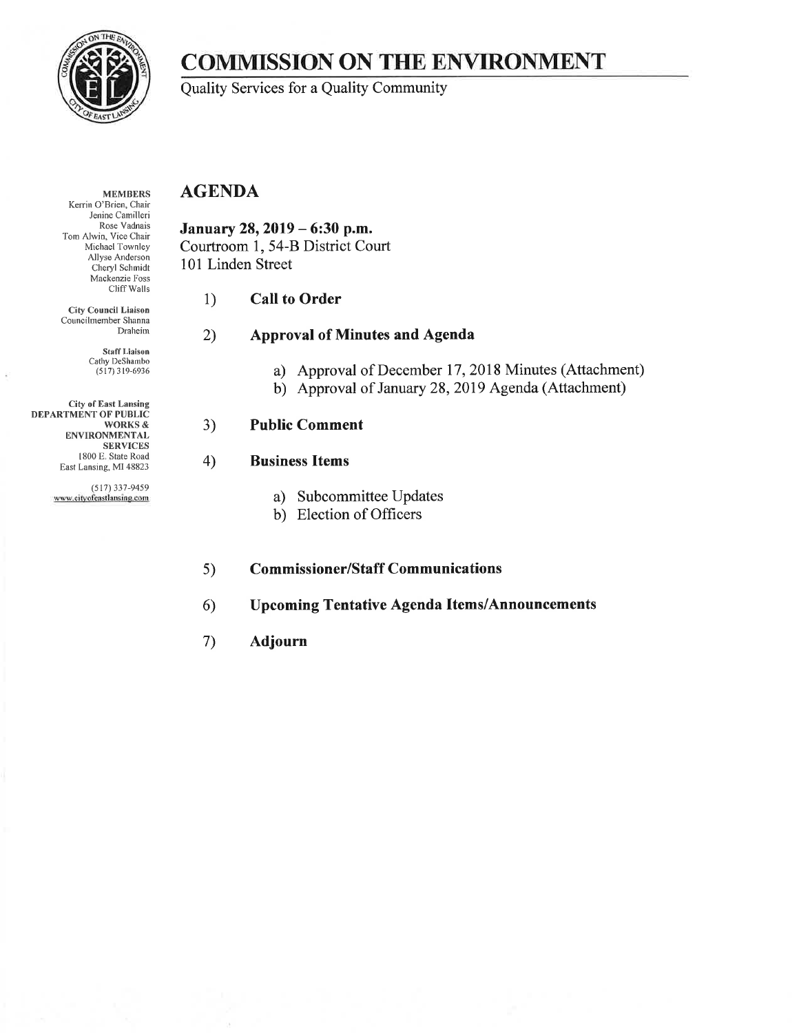

# **COMMISSION ON THE ENVIRONMENT**

Quality Services for a Quality Community

#### **MEMBERS** Kerrin O'Brien, Chair Jenine Camilleri Rose Vadnais Tom Alwin, Vice Chair Michael Townley Allyse Anderson Cheryl Schmidt Mackenzie Foss Cliff Walls

**City Council Liaison** Councilmember Shanna Draheim

> **Staff Liaison** Cathy DeShambo  $(517)$  319-6936

**City of East Lansing DEPARTMENT OF PUBLIC WORKS & ENVIRONMENTAL SERVICES** 1800 E. State Road East Lansing, MI 48823

> $(517)$  337-9459 www.cityofeastlansing.com

## **AGENDA**

January 28, 2019 - 6:30 p.m. Courtroom 1, 54-B District Court 101 Linden Street

#### 1) **Call to Order**

#### **Approval of Minutes and Agenda** 2)

- a) Approval of December 17, 2018 Minutes (Attachment)
- b) Approval of January 28, 2019 Agenda (Attachment)

## $3)$

### $4)$

- a) Subcommittee Updates
- b) Election of Officers

#### **Commissioner/Staff Communications**  $5)$

#### **Upcoming Tentative Agenda Items/Announcements**  $6)$

#### 7) **Adjourn**

**Public Comment** 

- **Business Items**
-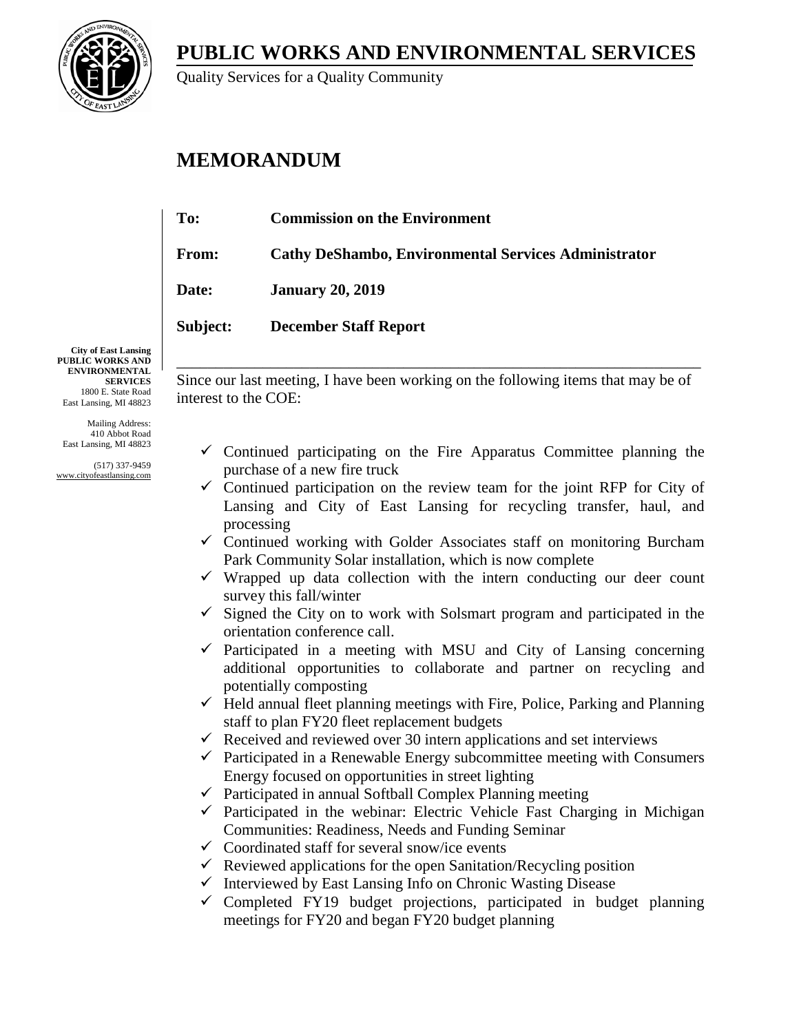**PUBLIC WORKS AND ENVIRONMENTAL SERVICES**



Quality Services for a Quality Community

# **MEMORANDUM**

| To:          | <b>Commission on the Environment</b>                        |
|--------------|-------------------------------------------------------------|
| <b>From:</b> | <b>Cathy DeShambo, Environmental Services Administrator</b> |
| <b>Date:</b> | <b>January 20, 2019</b>                                     |
| Subject:     | <b>December Staff Report</b>                                |
|              |                                                             |

**City of East Lansing PUBLIC WORKS AND ENVIRONMENTAL SERVICES** 1800 E. State Road East Lansing, MI 48823

Mailing Address: 410 Abbot Road East Lansing, MI 48823

(517) 337-9459 www.cityofeastlansing.com

Since our last meeting, I have been working on the following items that may be of interest to the COE:

\_\_\_\_\_\_\_\_\_\_\_\_\_\_\_\_\_\_\_\_\_\_\_\_\_\_\_\_\_\_\_\_\_\_\_\_\_\_\_\_\_\_\_\_\_\_\_\_\_\_\_\_\_\_\_\_\_\_\_\_\_\_\_\_\_\_\_

- $\checkmark$  Continued participating on the Fire Apparatus Committee planning the purchase of a new fire truck
- $\checkmark$  Continued participation on the review team for the joint RFP for City of Lansing and City of East Lansing for recycling transfer, haul, and processing
- $\checkmark$  Continued working with Golder Associates staff on monitoring Burcham Park Community Solar installation, which is now complete
- $\checkmark$  Wrapped up data collection with the intern conducting our deer count survey this fall/winter
- $\checkmark$  Signed the City on to work with Solsmart program and participated in the orientation conference call.
- $\checkmark$  Participated in a meeting with MSU and City of Lansing concerning additional opportunities to collaborate and partner on recycling and potentially composting
- $\checkmark$  Held annual fleet planning meetings with Fire, Police, Parking and Planning staff to plan FY20 fleet replacement budgets
- $\checkmark$  Received and reviewed over 30 intern applications and set interviews
- $\checkmark$  Participated in a Renewable Energy subcommittee meeting with Consumers Energy focused on opportunities in street lighting
- $\checkmark$  Participated in annual Softball Complex Planning meeting
- $\checkmark$  Participated in the webinar: Electric Vehicle Fast Charging in Michigan Communities: Readiness, Needs and Funding Seminar
- $\checkmark$  Coordinated staff for several snow/ice events
- $\checkmark$  Reviewed applications for the open Sanitation/Recycling position
- $\checkmark$  Interviewed by East Lansing Info on Chronic Wasting Disease
- $\checkmark$  Completed FY19 budget projections, participated in budget planning meetings for FY20 and began FY20 budget planning